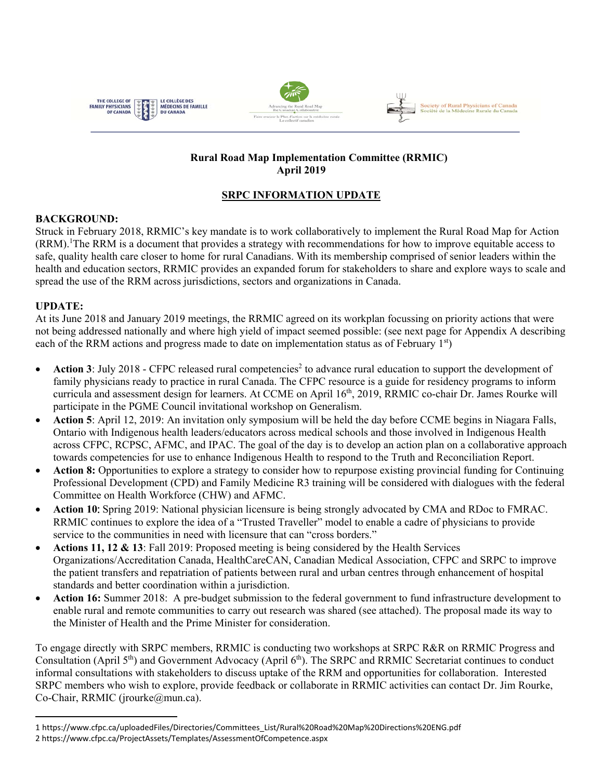



#### **Rural Road Map Implementation Committee (RRMIC) April 2019**

# **SRPC INFORMATION UPDATE**

## **BACKGROUND:**

Struck in February 2018, RRMIC's key mandate is to work collaboratively to implement the Rural Road Map for Action (RRM).<sup>1</sup>The RRM is a document that provides a strategy with recommendations for how to improve equitable access to safe, quality health care closer to home for rural Canadians. With its membership comprised of senior leaders within the health and education sectors, RRMIC provides an expanded forum for stakeholders to share and explore ways to scale and spread the use of the RRM across jurisdictions, sectors and organizations in Canada.

## **UPDATE:**

At its June 2018 and January 2019 meetings, the RRMIC agreed on its workplan focussing on priority actions that were not being addressed nationally and where high yield of impact seemed possible: (see next page for Appendix A describing each of the RRM actions and progress made to date on implementation status as of February  $1<sup>st</sup>$ )

- Action 3: July 2018 CFPC released rural competencies<sup>2</sup> to advance rural education to support the development of family physicians ready to practice in rural Canada. The CFPC resource is a guide for residency programs to inform curricula and assessment design for learners. At CCME on April 16<sup>th</sup>, 2019, RRMIC co-chair Dr. James Rourke will participate in the PGME Council invitational workshop on Generalism.
- **Action 5**: April 12, 2019: An invitation only symposium will be held the day before CCME begins in Niagara Falls, Ontario with Indigenous health leaders/educators across medical schools and those involved in Indigenous Health across CFPC, RCPSC, AFMC, and IPAC. The goal of the day is to develop an action plan on a collaborative approach towards competencies for use to enhance Indigenous Health to respond to the Truth and Reconciliation Report.
- **Action 8:** Opportunities to explore a strategy to consider how to repurpose existing provincial funding for Continuing Professional Development (CPD) and Family Medicine R3 training will be considered with dialogues with the federal Committee on Health Workforce (CHW) and AFMC.
- **Action 10**: Spring 2019: National physician licensure is being strongly advocated by CMA and RDoc to FMRAC. RRMIC continues to explore the idea of a "Trusted Traveller" model to enable a cadre of physicians to provide service to the communities in need with licensure that can "cross borders."
- **Actions 11, 12 & 13**: Fall 2019: Proposed meeting is being considered by the Health Services Organizations/Accreditation Canada, HealthCareCAN, Canadian Medical Association, CFPC and SRPC to improve the patient transfers and repatriation of patients between rural and urban centres through enhancement of hospital standards and better coordination within a jurisdiction.
- **Action 16:** Summer 2018: A pre-budget submission to the federal government to fund infrastructure development to enable rural and remote communities to carry out research was shared (see attached). The proposal made its way to the Minister of Health and the Prime Minister for consideration.

To engage directly with SRPC members, RRMIC is conducting two workshops at SRPC R&R on RRMIC Progress and Consultation (April 5<sup>th</sup>) and Government Advocacy (April 6<sup>th</sup>). The SRPC and RRMIC Secretariat continues to conduct informal consultations with stakeholders to discuss uptake of the RRM and opportunities for collaboration. Interested SRPC members who wish to explore, provide feedback or collaborate in RRMIC activities can contact Dr. Jim Rourke, Co-Chair, RRMIC (jrourke@mun.ca).

<sup>1</sup> https://www.cfpc.ca/uploadedFiles/Directories/Committees\_List/Rural%20Road%20Map%20Directions%20ENG.pdf 2 https://www.cfpc.ca/ProjectAssets/Templates/AssessmentOfCompetence.aspx